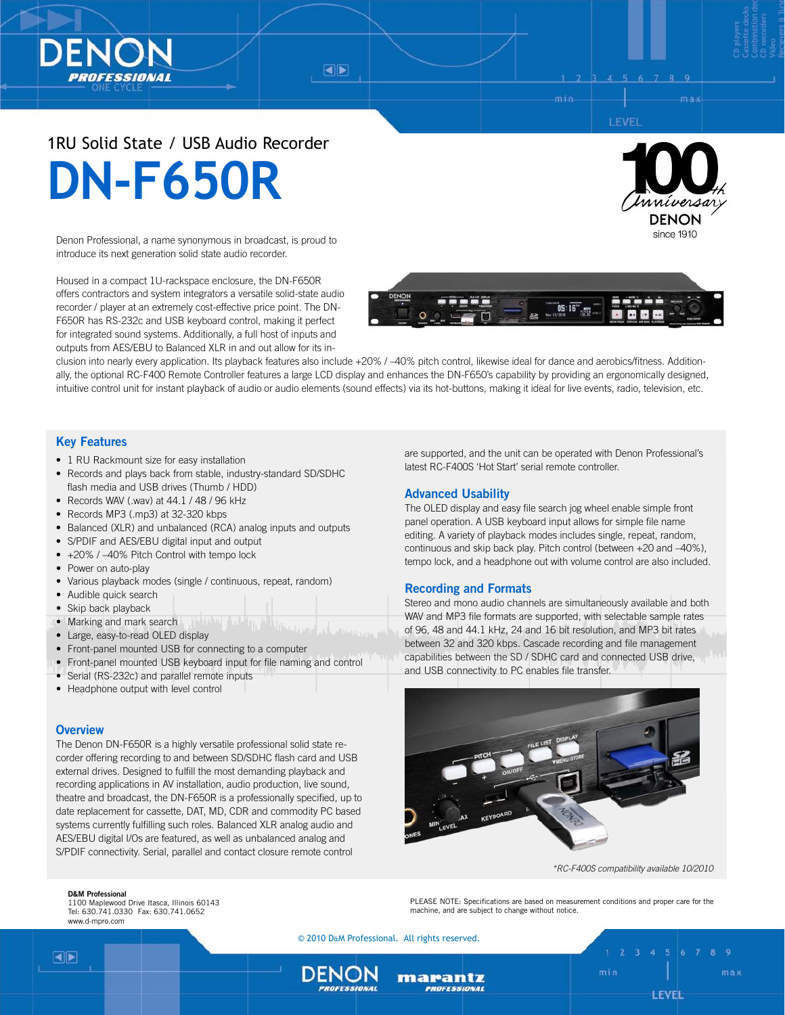$\blacktriangleleft$   $\blacktriangleright$ 

## LEVEI

# 1RU Solid State / USB Audio Recorder **DN-F650R**

Denon Professional, a name synonymous in broadcast, is proud to introduce its next generation solid state audio recorder.

Housed in a compact 1U-rackspace enclosure, the DN-F650R offers contractors and system integrators a versatile solid-state audio recorder / player at an extremely cost-effective price point. The DN-F650R has RS-232c and USB keyboard control, making it perfect for integrated sound systems. Additionally, a full host of inputs and outputs from AES/EBU to Balanced XLR in and out allow for its in-





clusion into nearly every application. Its playback features also include +20% / –40% pitch control, likewise ideal for dance and aerobics/fitness. Additionally, the optional RC-F400 Remote Controller features a large LCD display and enhances the DN-F650's capability by providing an ergonomically designed, intuitive control unit for instant playback of audio or audio elements (sound effects) via its hot-buttons, making it ideal for live events, radio, television, etc.

## **Key Features**

- 1 RU Rackmount size for easy installation
- Records and plays back from stable, industry-standard SD/SDHC flash media and USB drives (Thumb / HDD)
- Records WAV (.wav) at 44.1 / 48 / 96 kHz
- Records MP3 (.mp3) at 32-320 kbps
- Balanced (XLR) and unbalanced (RCA) analog inputs and outputs
- S/PDIF and AES/EBU digital input and output
- +20% / -40% Pitch Control with tempo lock
- Power on auto-play
- Various playback modes (single / continuous, repeat, random)
- Audible quick search
- Skip back playback
- Marking and mark search
- Large, easy-to-read OLED display
- Front-panel mounted USB for connecting to a computer
- Front-panel mounted USB keyboard input for file naming and control
- Serial (RS-232c) and parallel remote inputs
- Headphone output with level control

### **Overview**

The Denon DN-F650R is a highly versatile professional solid state recorder offering recording to and between SD/SDHC flash card and USB external drives. Designed to fulfill the most demanding playback and recording applications in AV installation, audio production, live sound, theatre and broadcast, the DN-F650R is a professionally specified, up to date replacement for cassette, DAT, MD, CDR and commodity PC based systems currently fulfilling such roles. Balanced XLR analog audio and AES/EBU digital I/Os are featured, as well as unbalanced analog and S/PDIF connectivity. Serial, parallel and contact closure remote control

**D&M Professional**

1100 Maplewood Drive Itasca, Illinois 60143 Tel: 630.741.0330 Fax: 630.741.0652 www.d-mpro.com

are supported, and the unit can be operated with Denon Professional's latest RC-F400S 'Hot Start' serial remote controller.

## **Advanced Usability**

The OLED display and easy file search jog wheel enable simple front panel operation. A USB keyboard input allows for simple file name editing. A variety of playback modes includes single, repeat, random, continuous and skip back play. Pitch control (between +20 and –40%), tempo lock, and a headphone out with volume control are also included.

## **Recording and Formats**

Stereo and mono audio channels are simultaneously available and both WAV and MP3 file formats are supported, with selectable sample rates of 96, 48 and 44.1 kHz, 24 and 16 bit resolution, and MP3 bit rates between 32 and 320 kbps. Cascade recording and file management capabilities between the SD / SDHC card and connected USB drive, and USB connectivity to PC enables file transfer.



*\*RC-F400S compatibility available 10/2010*

PLEASE NOTE: Specifications are based on measurement conditions and proper care for the machine, and are subject to change without notice.

© 2010 D&M Professional. All rights reserved.

marantz ROFESSION